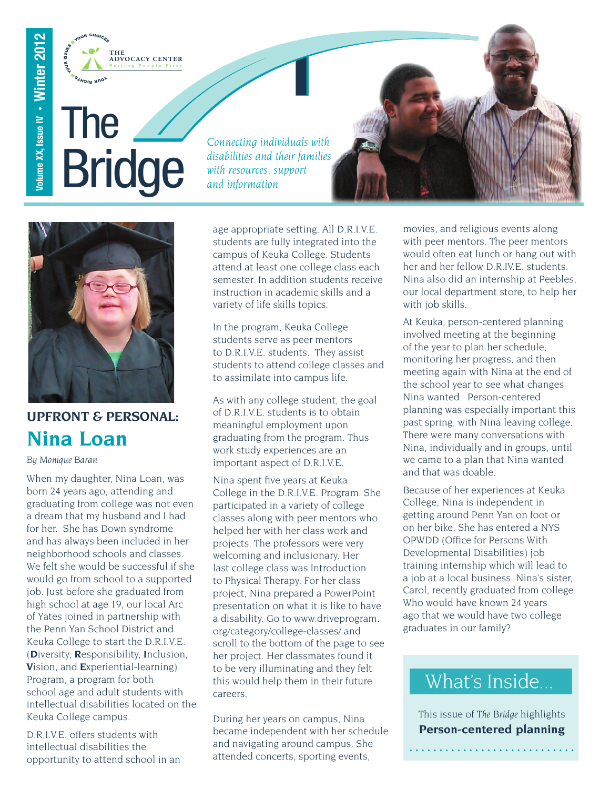

# The Bridge

Volume XX, Issue IV • Winter 201

 $\boldsymbol{\alpha}$ 

*Connecting individuals with disabilities and their families with resources, support and information*



# **UPFRONT & PERSONAL: Nina Loan**

#### *By Monique Baran*

When my daughter, Nina Loan, was born 24 years ago, attending and graduating from college was not even a dream that my husband and I had for her. She has Down syndrome and has always been included in her neighborhood schools and classes. We felt she would be successful if she would go from school to a supported job. Just before she graduated from high school at age 19, our local Arc of Yates joined in partnership with the Penn Yan School District and Keuka College to start the D.R.I.V.E. (**D**iversity, **R**esponsibility, **I**nclusion, **V**ision, and **E**xperiential-learning) Program, a program for both school age and adult students with intellectual disabilities located on the Keuka College campus.

D.R.I.V.E. offers students with intellectual disabilities the opportunity to attend school in an age appropriate setting. All D.R.I.V.E. students are fully integrated into the campus of Keuka College. Students attend at least one college class each semester. In addition students receive instruction in academic skills and a variety of life skills topics.

In the program, Keuka College students serve as peer mentors to D.R.I.V.E. students. They assist students to attend college classes and to assimilate into campus life.

As with any college student, the goal of D.R.I.V.E. students is to obtain meaningful employment upon graduating from the program. Thus work study experiences are an important aspect of D.R.I.V.E.

Nina spent five years at Keuka College in the D.R.I.V.E. Program. She participated in a variety of college classes along with peer mentors who helped her with her class work and projects. The professors were very welcoming and inclusionary. Her last college class was Introduction to Physical Therapy. For her class project, Nina prepared a PowerPoint presentation on what it is like to have a disability. Go to [www.driveprogram.](www.driveprogram.org/category/college-classes/) [org/category/college-classes/](www.driveprogram.org/category/college-classes/) and scroll to the bottom of the page to see her project. Her classmates found it to be very illuminating and they felt this would help them in their future careers.

During her years on campus, Nina became independent with her schedule and navigating around campus. She attended concerts, sporting events,

movies, and religious events along with peer mentors. The peer mentors would often eat lunch or hang out with her and her fellow D.R.IV.E. students. Nina also did an internship at Peebles, our local department store, to help her with job skills.

At Keuka, person-centered planning involved meeting at the beginning of the year to plan her schedule, monitoring her progress, and then meeting again with Nina at the end of the school year to see what changes Nina wanted. Person-centered planning was especially important this past spring, with Nina leaving college. There were many conversations with Nina, individually and in groups, until we came to a plan that Nina wanted and that was doable.

Because of her experiences at Keuka College, Nina is independent in getting around Penn Yan on foot or on her bike. She has entered a NYS OPWDD (Office for Persons With Developmental Disabilities) job training internship which will lead to a job at a local business. Nina's sister, Carol, recently graduated from college. Who would have known 24 years ago that we would have two college graduates in our family?

# What's Inside...

This issue of *The Bridge* highlights **Person-centered planning**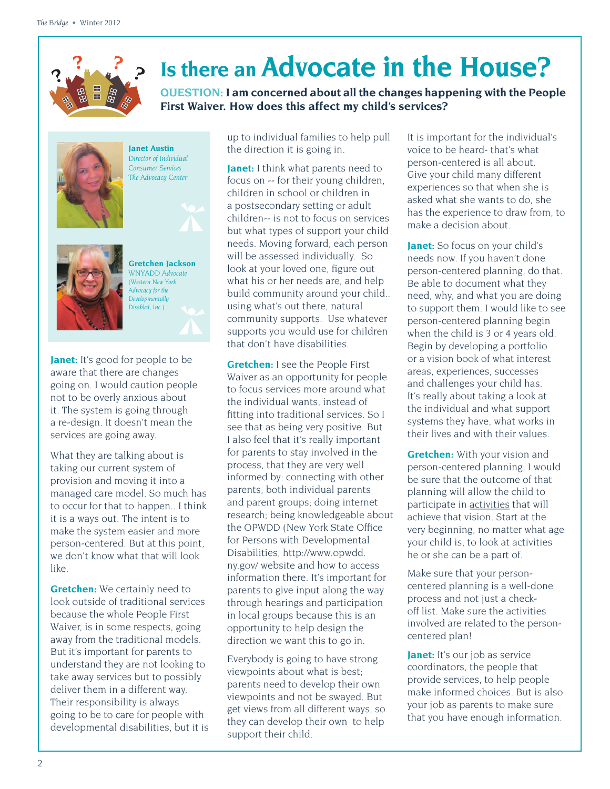# **Is there an Advocate in the House?**

**QUESTION: I am concerned about all the changes happening with the People First Waiver. How does this affect my child's services?** 



**Janet Austin** *Director of Individual Consumer Services The Advocacy Center*



**Gretchen Jackson** *WNYADD Advocate (Western New York Advocacy for the Developmentally Disabled, Inc.)*

**Janet:** It's good for people to be aware that there are changes going on. I would caution people not to be overly anxious about it. The system is going through a re-design. It doesn't mean the services are going away.

What they are talking about is taking our current system of provision and moving it into a managed care model. So much has to occur for that to happen...I think it is a ways out. The intent is to make the system easier and more person-centered. But at this point, we don't know what that will look like.

**Gretchen:** We certainly need to look outside of traditional services because the whole People First Waiver, is in some respects, going away from the traditional models. But it's important for parents to understand they are not looking to take away services but to possibly deliver them in a different way. Their responsibility is always going to be to care for people with developmental disabilities, but it is

up to individual families to help pull the direction it is going in.

**Janet:** I think what parents need to focus on -- for their young children, children in school or children in a postsecondary setting or adult children-- is not to focus on services but what types of support your child needs. Moving forward, each person will be assessed individually. So look at your loved one, figure out what his or her needs are, and help build community around your child.. using what's out there, natural community supports. Use whatever supports you would use for children that don't have disabilities.

**Gretchen:** I see the People First Waiver as an opportunity for people to focus services more around what the individual wants, instead of fitting into traditional services. So I see that as being very positive. But I also feel that it's really important for parents to stay involved in the process, that they are very well informed by: connecting with other parents, both individual parents and parent groups; doing internet research; being knowledgeable about the OPWDD (New York State Office for Persons with Developmental Disabilities, [http://www.opwdd.](http://www.opwdd.ny.gov/) [ny.gov/](http://www.opwdd.ny.gov/) website and how to access information there. It's important for parents to give input along the way through hearings and participation in local groups because this is an opportunity to help design the direction we want this to go in.

Everybody is going to have strong viewpoints about what is best; parents need to develop their own viewpoints and not be swayed. But get views from all different ways, so they can develop their own to help support their child.

It is important for the individual's voice to be heard- that's what person-centered is all about. Give your child many different experiences so that when she is asked what she wants to do, she has the experience to draw from, to make a decision about.

**Janet:** So focus on your child's needs now. If you haven't done person-centered planning, do that. Be able to document what they need, why, and what you are doing to support them. I would like to see person-centered planning begin when the child is 3 or 4 years old. Begin by developing a portfolio or a vision book of what interest areas, experiences, successes and challenges your child has. It's really about taking a look at the individual and what support systems they have, what works in their lives and with their values.

**Gretchen:** With your vision and person-centered planning, I would be sure that the outcome of that planning will allow the child to participate in activities that will achieve that vision. Start at the very beginning, no matter what age your child is, to look at activities he or she can be a part of.

Make sure that your personcentered planning is a well-done process and not just a checkoff list. Make sure the activities involved are related to the personcentered plan!

**Janet:** It's our job as service coordinators, the people that provide services, to help people make informed choices. But is also your job as parents to make sure that you have enough information.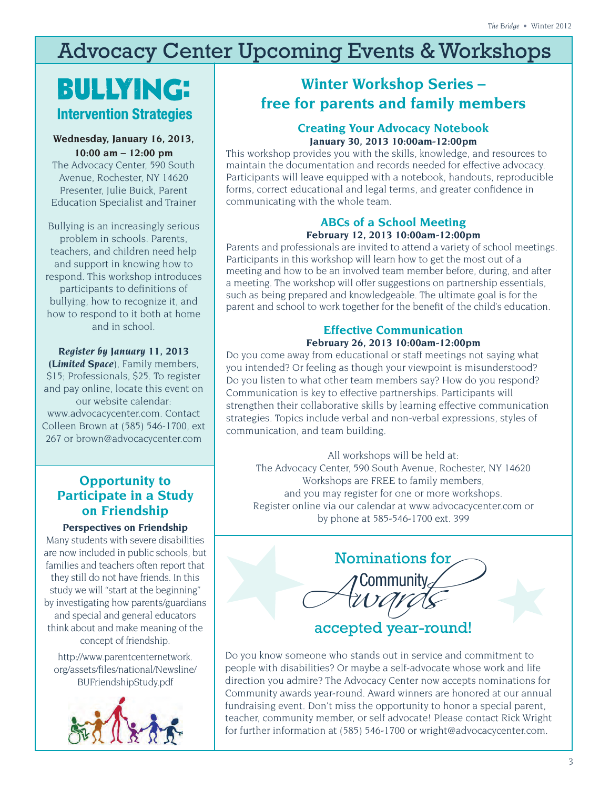# Advocacy Center Upcoming Events & Workshops

# **BULLYING: Intervention Strategies**

#### **Wednesday, January 16, 2013, 10:00 am – 12:00 pm**

The Advocacy Center, 590 South Avenue, Rochester, NY 14620 Presenter, Julie Buick, Parent Education Specialist and Trainer

Bullying is an increasingly serious problem in schools. Parents, teachers, and children need help and support in knowing how to respond. This workshop introduces participants to definitions of bullying, how to recognize it, and how to respond to it both at home and in school.

*Register by January 11, 2013 (Limited Space*), Family members, \$15; Professionals, \$25. To register and pay online, locate this event on our website calendar: [www.advocacycenter.com.](http://advocacycenter.com) Contact Colleen Brown at (585) 546-1700, ext 267 or brown@advocacycenter.com

# **Opportunity to Participate in a Study on Friendship**

#### **Perspectives on Friendship**

Many students with severe disabilities are now included in public schools, but families and teachers often report that they still do not have friends. In this study we will "start at the beginning" by investigating how parents/guardians and special and general educators think about and make meaning of the concept of friendship.

[http://www.parentcenternetwork.](http://www.parentcenternetwork.org/assets/files/national/Newsline/BUFriendshipStudy.pdf) [org/assets/�les/national/Newsline/](http://www.parentcenternetwork.org/assets/files/national/Newsline/BUFriendshipStudy.pdf) [BUFriendshipStudy.pdf](http://www.parentcenternetwork.org/assets/files/national/Newsline/BUFriendshipStudy.pdf)



# **Winter Workshop Series – free for parents and family members**

## **Creating Your Advocacy Notebook January 30, 2013 10:00am-12:00pm**

This workshop provides you with the skills, knowledge, and resources to maintain the documentation and records needed for effective advocacy. Participants will leave equipped with a notebook, handouts, reproducible forms, correct educational and legal terms, and greater confidence in communicating with the whole team.

## **ABCs of a School Meeting February 12, 2013 10:00am-12:00pm**

Parents and professionals are invited to attend a variety of school meetings. Participants in this workshop will learn how to get the most out of a meeting and how to be an involved team member before, during, and after a meeting. The workshop will offer suggestions on partnership essentials, such as being prepared and knowledgeable. The ultimate goal is for the parent and school to work together for the benefit of the child's education.

## **Effective Communication February 26, 2013 10:00am-12:00pm**

Do you come away from educational or staff meetings not saying what you intended? Or feeling as though your viewpoint is misunderstood? Do you listen to what other team members say? How do you respond? Communication is key to effective partnerships. Participants will strengthen their collaborative skills by learning effective communication strategies. Topics include verbal and non-verbal expressions, styles of communication, and team building.

All workshops will be held at: The Advocacy Center, 590 South Avenue, Rochester, NY 14620 Workshops are FREE to family members, and you may register for one or more workshops. Register online via our calendar at [www.advocacycenter.com](http://www.advocacycenter.com) or by phone at 585-546-1700 ext. 399



Do you know someone who stands out in service and commitment to people with disabilities? Or maybe a self-advocate whose work and life direction you admire? The Advocacy Center now accepts nominations for Community awards year-round. Award winners are honored at our annual fundraising event. Don't miss the opportunity to honor a special parent, teacher, community member, or self advocate! Please contact Rick Wright for further information at (585) 546-1700 or wright@advocacycenter.com.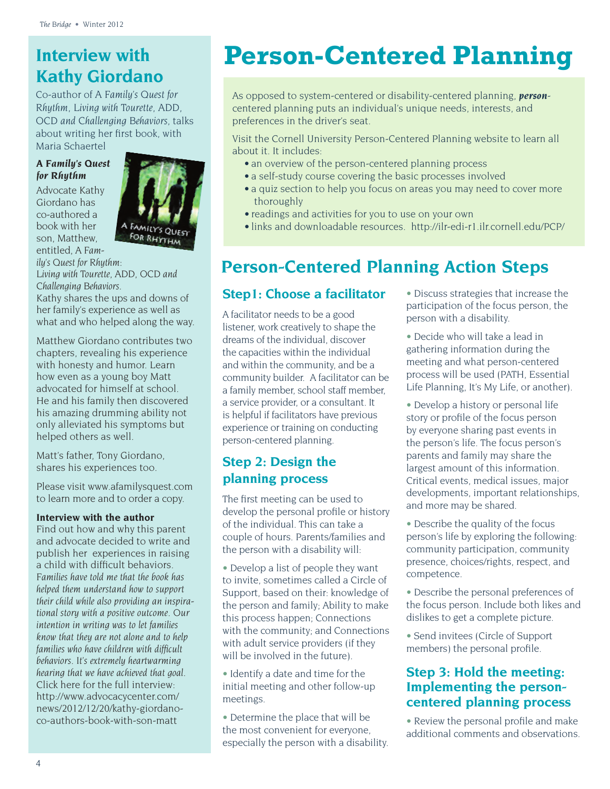# **Interview with Kathy Giordano**

Co-author of *A Family's Quest for Rhythm, Living with Tourette, ADD, OCD and Challenging Behaviors*, talks about writing her first book, with Maria Schaertel

## *A Family's Quest for Rhythm*

Advocate Kathy Giordano has co-authored a book with her son, Matthew, entitled, *A Fam-*



*ily's Quest for Rhythm: Living with Tourette, ADD, OCD and Challenging Behaviors.* 

Kathy shares the ups and downs of her family's experience as well as what and who helped along the way.

Matthew Giordano contributes two chapters, revealing his experience with honesty and humor. Learn how even as a young boy Matt advocated for himself at school. He and his family then discovered his amazing drumming ability not only alleviated his symptoms but helped others as well.

Matt's father, Tony Giordano, shares his experiences too.

Please visit<www.afamilysquest.com> to learn more and to order a copy.

#### **Interview with the author**

Find out how and why this parent and advocate decided to write and publish her experiences in raising a child with difficult behaviors. *Families have told me that the book has helped them understand how to support their child while also providing an inspirational story with a positive outcome. Our intention in writing was to let families know that they are not alone and to help families who have children with dif�cult behaviors. It's extremely heartwarming hearing that we have achieved that goal.* Click here for the full interview: [http://www.advocacycenter.com/](http://www.advocacycenter.com/news/2012/12/20/kathy-giordano-co-authors-book-with-son-matt) [news/2012/12/20/kathy-giordano](http://www.advocacycenter.com/news/2012/12/20/kathy-giordano-co-authors-book-with-son-matt)[co-authors-book-with-son-matt](http://www.advocacycenter.com/news/2012/12/20/kathy-giordano-co-authors-book-with-son-matt)

# **Person-Centered Planning**

As opposed to system-centered or disability-centered planning, *person*centered planning puts an individual's unique needs, interests, and preferences in the driver's seat.

Visit the Cornell University Person-Centered Planning website to learn all about it. It includes:

- an overview of the person-centered planning process
- a self-study course covering the basic processes involved
- a quiz section to help you focus on areas you may need to cover more thoroughly
- readings and activities for you to use on your own
- links and downloadable resources. <http://ilr-edi-r1.ilr.cornell.edu/PCP/>

# **Person-Centered Planning Action Steps**

## **Step1: Choose a facilitator**

A facilitator needs to be a good listener, work creatively to shape the dreams of the individual, discover the capacities within the individual and within the community, and be a community builder. A facilitator can be a family member, school staff member, a service provider, or a consultant. It is helpful if facilitators have previous experience or training on conducting person-centered planning.

# **Step 2: Design the planning process**

The first meeting can be used to develop the personal profile or history of the individual. This can take a couple of hours. Parents/families and the person with a disability will:

• Develop a list of people they want to invite, sometimes called a Circle of Support, based on their: knowledge of the person and family; Ability to make this process happen; Connections with the community; and Connections with adult service providers (if they will be involved in the future).

- Identify a date and time for the initial meeting and other follow-up meetings.
- Determine the place that will be the most convenient for everyone, especially the person with a disability.
- Discuss strategies that increase the participation of the focus person, the person with a disability.
- Decide who will take a lead in gathering information during the meeting and what person-centered process will be used (PATH, Essential Life Planning, It's My Life, or another).
- Develop a history or personal life story or profile of the focus person by everyone sharing past events in the person's life. The focus person's parents and family may share the largest amount of this information. Critical events, medical issues, major developments, important relationships, and more may be shared.
- Describe the quality of the focus person's life by exploring the following: community participation, community presence, choices/rights, respect, and competence.
- Describe the personal preferences of the focus person. Include both likes and dislikes to get a complete picture.
- Send invitees (Circle of Support members) the personal profile.

# **Step 3: Hold the meeting: Implementing the personcentered planning process**

• Review the personal profile and make additional comments and observations.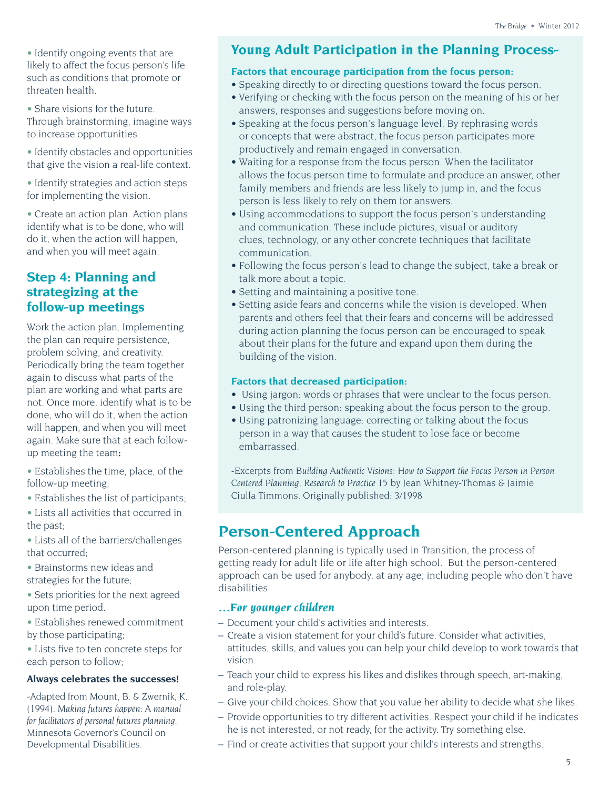• Identify ongoing events that are likely to affect the focus person's life such as conditions that promote or threaten health.

• Share visions for the future.

Through brainstorming, imagine ways to increase opportunities.

• Identify obstacles and opportunities that give the vision a real-life context.

• Identify strategies and action steps for implementing the vision.

• Create an action plan. Action plans identify what is to be done, who will do it, when the action will happen, and when you will meet again.

## **Step 4: Planning and strategizing at the follow-up meetings**

Work the action plan. Implementing the plan can require persistence, problem solving, and creativity. Periodically bring the team together again to discuss what parts of the plan are working and what parts are not. Once more, identify what is to be done, who will do it, when the action will happen, and when you will meet again. Make sure that at each followup meeting the team**:**

• Establishes the time, place, of the follow-up meeting;

• Establishes the list of participants;

• Lists all activities that occurred in the past;

• Lists all of the barriers/challenges that occurred;

• Brainstorms new ideas and strategies for the future;

• Sets priorities for the next agreed upon time period.

• Establishes renewed commitment by those participating;

• Lists five to ten concrete steps for each person to follow;

### **Always celebrates the successes!**

-Adapted from Mount, B. & Zwernik, K. (1994). *Making futures happen: A manual for facilitators of personal futures planning.* Minnesota Governor's Council on Developmental Disabilities.

# **Young Adult Participation in the Planning Process-**

#### **Factors that encourage participation from the focus person:**

- Speaking directly to or directing questions toward the focus person.
- Verifying or checking with the focus person on the meaning of his or her answers, responses and suggestions before moving on.
- Speaking at the focus person's language level. By rephrasing words or concepts that were abstract, the focus person participates more productively and remain engaged in conversation.
- Waiting for a response from the focus person. When the facilitator allows the focus person time to formulate and produce an answer, other family members and friends are less likely to jump in, and the focus person is less likely to rely on them for answers.
- Using accommodations to support the focus person's understanding and communication. These include pictures, visual or auditory clues, technology, or any other concrete techniques that facilitate communication.
- Following the focus person's lead to change the subject, take a break or talk more about a topic.
- Setting and maintaining a positive tone.
- Setting aside fears and concerns while the vision is developed. When parents and others feel that their fears and concerns will be addressed during action planning the focus person can be encouraged to speak about their plans for the future and expand upon them during the building of the vision.

## **Factors that decreased participation:**

- Using jargon: words or phrases that were unclear to the focus person.
- Using the third person: speaking about the focus person to the group.
- Using patronizing language: correcting or talking about the focus person in a way that causes the student to lose face or become embarrassed.

-Excerpts from *Building Authentic Visions: How to Support the Focus Person in Person Centered Planning, Research to Practice 15* by Jean Whitney-Thomas & Jaimie Ciulla Timmons. Originally published: 3/1998

# **Person-Centered Approach**

Person-centered planning is typically used in Transition, the process of getting ready for adult life or life after high school. But the person-centered approach can be used for anybody, at any age, including people who don't have disabilities.

## *…For younger children*

- Document your child's activities and interests.
- Create a vision statement for your child's future. Consider what activities, attitudes, skills, and values you can help your child develop to work towards that vision.
- Teach your child to express his likes and dislikes through speech, art-making, and role-play.
- Give your child choices. Show that you value her ability to decide what she likes.
- Provide opportunities to try different activities. Respect your child if he indicates he is not interested, or not ready, for the activity. Try something else.
- Find or create activities that support your child's interests and strengths.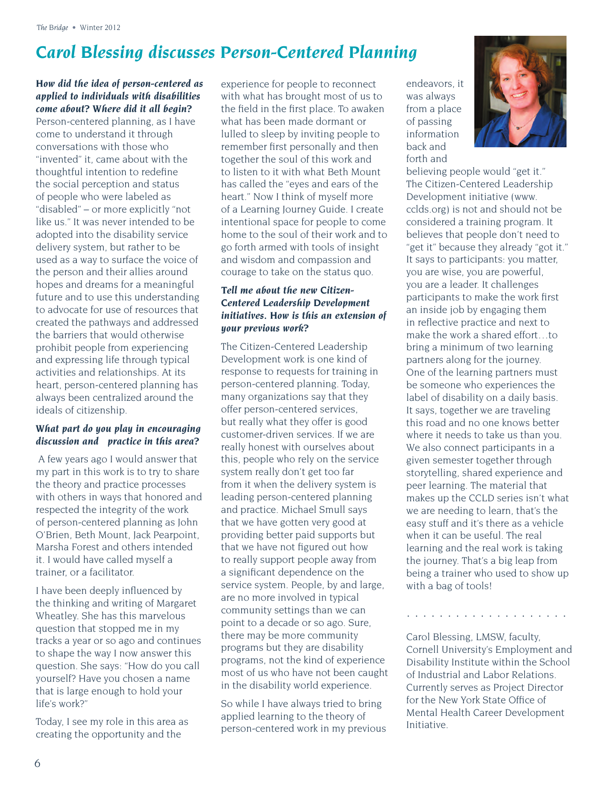# *Carol Blessing discusses Person-Centered Planning*

## *How did the idea of person-centered as applied to individuals with disabilities come about? Where did it all begin?*

Person-centered planning, as I have come to understand it through conversations with those who "invented" it, came about with the thoughtful intention to redefine the social perception and status of people who were labeled as "disabled" – or more explicitly "not like us." It was never intended to be adopted into the disability service delivery system, but rather to be used as a way to surface the voice of the person and their allies around hopes and dreams for a meaningful future and to use this understanding to advocate for use of resources that created the pathways and addressed the barriers that would otherwise prohibit people from experiencing and expressing life through typical activities and relationships. At its heart, person-centered planning has always been centralized around the ideals of citizenship.

#### *What part do you play in encouraging discussion and practice in this area?*

 A few years ago I would answer that my part in this work is to try to share the theory and practice processes with others in ways that honored and respected the integrity of the work of person-centered planning as John O'Brien, Beth Mount, Jack Pearpoint, Marsha Forest and others intended it. I would have called myself a trainer, or a facilitator.

I have been deeply influenced by the thinking and writing of Margaret Wheatley. She has this marvelous question that stopped me in my tracks a year or so ago and continues to shape the way I now answer this question. She says: "How do you call yourself? Have you chosen a name that is large enough to hold your life's work?"

Today, I see my role in this area as creating the opportunity and the

experience for people to reconnect with what has brought most of us to the field in the first place. To awaken what has been made dormant or lulled to sleep by inviting people to remember first personally and then together the soul of this work and to listen to it with what Beth Mount has called the "eyes and ears of the heart." Now I think of myself more of a Learning Journey Guide. I create intentional space for people to come home to the soul of their work and to go forth armed with tools of insight and wisdom and compassion and courage to take on the status quo.

## *Tell me about the new Citizen-Centered Leadership Development initiatives. How is this an extension of your previous work?*

The Citizen-Centered Leadership Development work is one kind of response to requests for training in person-centered planning. Today, many organizations say that they offer person-centered services, but really what they offer is good customer-driven services. If we are really honest with ourselves about this, people who rely on the service system really don't get too far from it when the delivery system is leading person-centered planning and practice. Michael Smull says that we have gotten very good at providing better paid supports but that we have not figured out how to really support people away from a significant dependence on the service system. People, by and large, are no more involved in typical community settings than we can point to a decade or so ago. Sure, there may be more community programs but they are disability programs, not the kind of experience most of us who have not been caught in the disability world experience.

So while I have always tried to bring applied learning to the theory of person-centered work in my previous endeavors, it was always from a place of passing information back and forth and



believing people would "get it." The Citizen-Centered Leadership Development initiative (www. cclds.org) is not and should not be considered a training program. It believes that people don't need to "get it" because they already "got it." It says to participants: you matter, you are wise, you are powerful, you are a leader. It challenges participants to make the work first an inside job by engaging them in reflective practice and next to make the work a shared effort…to bring a minimum of two learning partners along for the journey. One of the learning partners must be someone who experiences the label of disability on a daily basis. It says, together we are traveling this road and no one knows better where it needs to take us than you. We also connect participants in a given semester together through storytelling, shared experience and peer learning. The material that makes up the CCLD series isn't what we are needing to learn, that's the easy stuff and it's there as a vehicle when it can be useful. The real learning and the real work is taking the journey. That's a big leap from being a trainer who used to show up with a bag of tools!

Carol Blessing, LMSW, faculty, Cornell University's Employment and Disability Institute within the School of Industrial and Labor Relations. Currently serves as Project Director for the New York State Office of Mental Health Career Development Initiative.

. . . . . . . . . . . . . . . . . . . .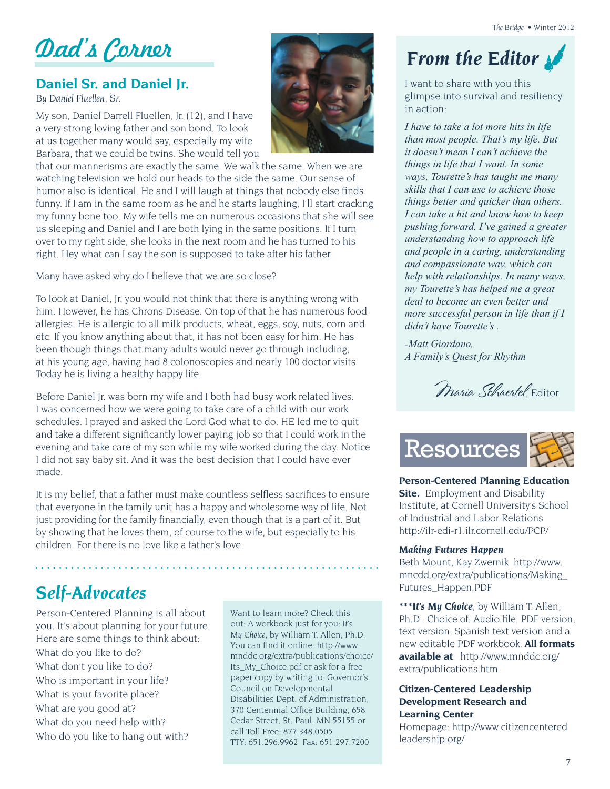Dad's Corner **From the Editor** 

## **Daniel Sr. and Daniel Jr.**

*By Daniel Fluellen, Sr.* 

My son, Daniel Darrell Fluellen, Jr. (12), and I have a very strong loving father and son bond. To look at us together many would say, especially my wife Barbara, that we could be twins. She would tell you



that our mannerisms are exactly the same. We walk the same. When we are watching television we hold our heads to the side the same. Our sense of humor also is identical. He and I will laugh at things that nobody else finds funny. If I am in the same room as he and he starts laughing, I'll start cracking my funny bone too. My wife tells me on numerous occasions that she will see us sleeping and Daniel and I are both lying in the same positions. If I turn over to my right side, she looks in the next room and he has turned to his right. Hey what can I say the son is supposed to take after his father.

Many have asked why do I believe that we are so close?

To look at Daniel, Jr. you would not think that there is anything wrong with him. However, he has Chrons Disease. On top of that he has numerous food allergies. He is allergic to all milk products, wheat, eggs, soy, nuts, corn and etc. If you know anything about that, it has not been easy for him. He has been though things that many adults would never go through including, at his young age, having had 8 colonoscopies and nearly 100 doctor visits. Today he is living a healthy happy life.

Before Daniel Jr. was born my wife and I both had busy work related lives. I was concerned how we were going to take care of a child with our work schedules. I prayed and asked the Lord God what to do. HE led me to quit and take a different significantly lower paying job so that I could work in the evening and take care of my son while my wife worked during the day. Notice I did not say baby sit. And it was the best decision that I could have ever made.

It is my belief, that a father must make countless selfless sacrifices to ensure that everyone in the family unit has a happy and wholesome way of life. Not just providing for the family financially, even though that is a part of it. But by showing that he loves them, of course to the wife, but especially to his children. For there is no love like a father's love.

# *Self-Advocates*

Person-Centered Planning is all about you. It's about planning for your future. Here are some things to think about: What do you like to do? What don't you like to do? Who is important in your life? What is your favorite place? What are you good at? What do you need help with? Who do you like to hang out with?

Want to learn more? Check this out: A workbook just for you: *It's My Choice*, by William T. Allen, Ph.D. You can find it online: [http://www.](http://www.mnddc.org/extra/publications/choice/Its_My_Choice.pdf) [mnddc.org/extra/publications/choice/](http://www.mnddc.org/extra/publications/choice/Its_My_Choice.pdf) [Its\\_My\\_Choice.pdf](http://www.mnddc.org/extra/publications/choice/Its_My_Choice.pdf) or ask for a free paper copy by writing to: Governor's Council on Developmental Disabilities Dept. of Administration, 370 Centennial Office Building, 658 Cedar Street, St. Paul, MN 55155 or call Toll Free: 877.348.0505 TTY: 651.296.9962 Fax: 651.297.7200

I want to share with you this glimpse into survival and resiliency in action:

*I have to take a lot more hits in life than most people. That's my life. But it doesn't mean I can't achieve the things in life that I want. In some ways, Tourette's has taught me many skills that I can use to achieve those things better and quicker than others. I can take a hit and know how to keep pushing forward. I've gained a greater understanding how to approach life and people in a caring, understanding and compassionate way, which can help with relationships. In many ways, my Tourette's has helped me a great deal to become an even better and more successful person in life than if I didn't have Tourette's .* 

*-Matt Giordano, A Family's Quest for Rhythm* 

Maria Schaertel Editor



**Person-Centered Planning Education Site.** Employment and Disability Institute, at Cornell University's School of Industrial and Labor Relations <http://ilr-edi-r1.ilr.cornell.edu/PCP/>

#### *Making Futures Happen*

Beth Mount, Kay Zwernik [http://www.](http://www.mncdd.org/extra/publications/Making_Futures_Happen.PDF) [mncdd.org/extra/publications/Making\\_](http://www.mncdd.org/extra/publications/Making_Futures_Happen.PDF) [Futures\\_Happen.PDF](http://www.mncdd.org/extra/publications/Making_Futures_Happen.PDF)

*\*\*\*It's My Choice*, by William T. Allen, Ph.D. Choice of: Audio file, PDF version, text version, Spanish text version and a new editable PDF workbook. **All formats available at**: [http://www.mnddc.org/](http://www.mnddc.org/extra/publications.htm) [extra/publications.htm](http://www.mnddc.org/extra/publications.htm)

#### **Citizen-Centered Leadership Development Research and Learning Center**

Homepage: [http://www.citizencentered](http://www.citizencenteredleadership.org/) [leadership.org/](http://www.citizencenteredleadership.org/)